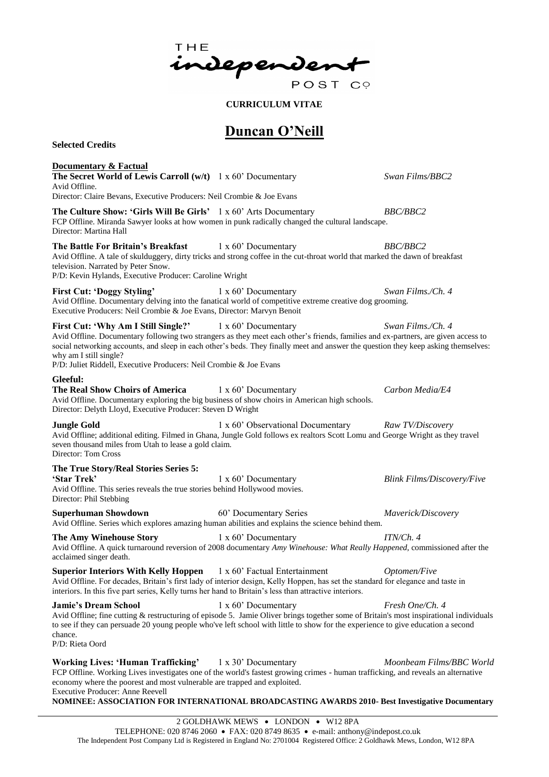THE independen POST CO

**CURRICULUM VITAE**

### **Duncan O'Neill**

**Selected Credits**

**Documentary & Factual The Secret World of Lewis Carroll (w/t)** 1 x 60' Documentary *Swan Films/BBC2* Avid Offline. Director: Claire Bevans, Executive Producers: Neil Crombie & Joe Evans **The Culture Show: 'Girls Will Be Girls'** 1 x 60' Arts Documentary *BBC/BBC2* FCP Offline. Miranda Sawyer looks at how women in punk radically changed the cultural landscape. Director: Martina Hall **The Battle For Britain's Breakfast** 1 x 60' Documentary *BBC/BBC2* Avid Offline. A tale of skulduggery, dirty tricks and strong coffee in the cut-throat world that marked the dawn of breakfast television. Narrated by Peter Snow. P/D: Kevin Hylands, Executive Producer: Caroline Wright **First Cut: 'Doggy Styling'** 1 x 60' Documentary *Swan Films./Ch. 4* Avid Offline. Documentary delving into the fanatical world of competitive extreme creative dog grooming. Executive Producers: Neil Crombie & Joe Evans, Director: Marvyn Benoit **First Cut: 'Why Am I Still Single?'** 1 x 60' Documentary *Swan Films./Ch. 4* Avid Offline. Documentary following two strangers as they meet each other's friends, families and ex-partners, are given access to social networking accounts, and sleep in each other's beds. They finally meet and answer the question they keep asking themselves: why am I still single? P/D: Juliet Riddell, Executive Producers: Neil Crombie & Joe Evans **Gleeful: The Real Show Choirs of America** 1 x 60' Documentary *Carbon Media/E4* Avid Offline. Documentary exploring the big business of show choirs in American high schools. Director: Delyth Lloyd, Executive Producer: Steven D Wright **Jungle Gold** 1 x 60' Observational Documentary *Raw TV/Discovery* Avid Offline; additional editing. Filmed in Ghana, Jungle Gold follows ex realtors Scott Lomu and George Wright as they travel seven thousand miles from Utah to lease a gold claim. Director: Tom Cross **The True Story/Real Stories Series 5: 'Star Trek'** 1 x 60' Documentary *Blink Films/Discovery/Five* Avid Offline. This series reveals the true stories behind Hollywood movies. Director: Phil Stebbing **Superhuman Showdown** 60' Documentary Series *Maverick/Discovery* Avid Offline. Series which explores amazing human abilities and explains the science behind them. **The Amy Winehouse Story** 1 x 60' Documentary *ITN/Ch. 4* Avid Offline. A quick turnaround reversion of 2008 documentary *Amy Winehouse: What Really Happened*, commissioned after the acclaimed singer death. **Superior Interiors With Kelly Hoppen** 1 x 60' Factual Entertainment *Optomen/Five* Avid Offline. For decades, Britain's first lady of interior design, Kelly Hoppen, has set the standard for elegance and taste in interiors. In this five part series, Kelly turns her hand to Britain's less than attractive interiors. **Jamie's Dream School** 1 x 60' Documentary *Fresh One/Ch. 4* Avid Offline; fine cutting & restructuring of episode 5. Jamie Oliver brings together some of Britain's most inspirational individuals to see if they can persuade 20 young people who've left school with little to show for the experience to give education a second chance. P/D: Rieta Oord **Working Lives: 'Human Trafficking'** 1 x 30' Documentary *Moonbeam Films/BBC World* FCP Offline. Working Lives investigates one of the world's fastest growing crimes - human trafficking, and reveals an alternative economy where the poorest and most vulnerable are trapped and exploited.

Executive Producer: Anne Reevell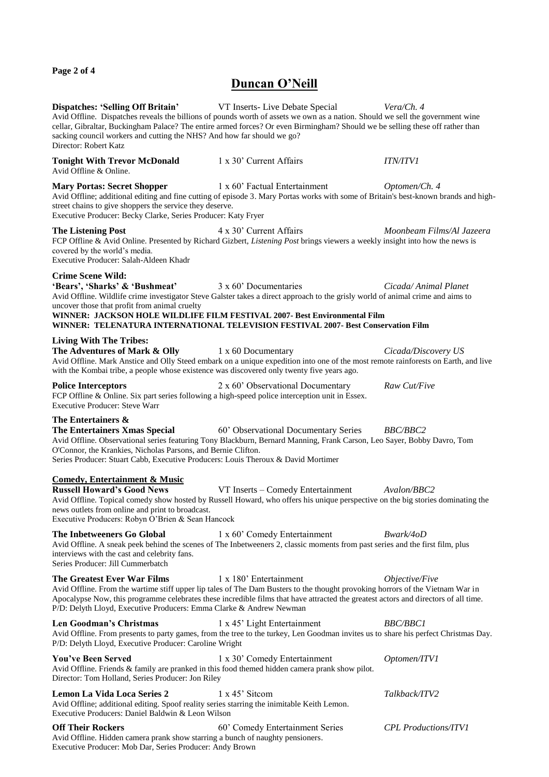**Page 2 of 4**

## **Duncan O'Neill**

| <b>Dispatches: 'Selling Off Britain'</b> VT Inserts-Live Debate Special<br>sacking council workers and cutting the NHS? And how far should we go?<br>Director: Robert Katz                                | Avid Offline. Dispatches reveals the billions of pounds worth of assets we own as a nation. Should we sell the government wine<br>cellar, Gibraltar, Buckingham Palace? The entire armed forces? Or even Birmingham? Should we be selling these off rather than                                                            | Vera/Ch. 4                  |
|-----------------------------------------------------------------------------------------------------------------------------------------------------------------------------------------------------------|----------------------------------------------------------------------------------------------------------------------------------------------------------------------------------------------------------------------------------------------------------------------------------------------------------------------------|-----------------------------|
| <b>Tonight With Trevor McDonald</b><br>Avid Offline & Online.                                                                                                                                             | 1 x 30' Current Affairs                                                                                                                                                                                                                                                                                                    | <i><b>ITN/ITV1</b></i>      |
| <b>Mary Portas: Secret Shopper</b><br>street chains to give shoppers the service they deserve.<br>Executive Producer: Becky Clarke, Series Producer: Katy Fryer                                           | 1 x 60' Factual Entertainment<br>Avid Offline; additional editing and fine cutting of episode 3. Mary Portas works with some of Britain's best-known brands and high-                                                                                                                                                      | Optomen/Ch. 4               |
| <b>The Listening Post</b><br>covered by the world's media.<br>Executive Producer: Salah-Aldeen Khadr                                                                                                      | 4 x 30' Current Affairs<br>FCP Offline & Avid Online. Presented by Richard Gizbert, Listening Post brings viewers a weekly insight into how the news is                                                                                                                                                                    | Moonbeam Films/Al Jazeera   |
| <b>Crime Scene Wild:</b><br>'Bears', 'Sharks' & 'Bushmeat'<br>uncover those that profit from animal cruelty                                                                                               | 3 x 60' Documentaries<br>Avid Offline. Wildlife crime investigator Steve Galster takes a direct approach to the grisly world of animal crime and aims to<br>WINNER: JACKSON HOLE WILDLIFE FILM FESTIVAL 2007- Best Environmental Film<br>WINNER: TELENATURA INTERNATIONAL TELEVISION FESTIVAL 2007- Best Conservation Film | Cicada/Animal Planet        |
| <b>Living With The Tribes:</b><br>The Adventures of Mark & Olly<br>with the Kombai tribe, a people whose existence was discovered only twenty five years ago.                                             | 1 x 60 Documentary<br>Avid Offline. Mark Anstice and Olly Steed embark on a unique expedition into one of the most remote rainforests on Earth, and live                                                                                                                                                                   | Cicada/Discovery US         |
| <b>Police Interceptors</b><br>FCP Offline & Online. Six part series following a high-speed police interception unit in Essex.<br><b>Executive Producer: Steve Warr</b>                                    | 2 x 60' Observational Documentary                                                                                                                                                                                                                                                                                          | Raw Cut/Five                |
| The Entertainers &<br>The Entertainers Xmas Special<br>O'Connor, the Krankies, Nicholas Parsons, and Bernie Clifton.<br>Series Producer: Stuart Cabb, Executive Producers: Louis Theroux & David Mortimer | 60' Observational Documentary Series<br>Avid Offline. Observational series featuring Tony Blackburn, Bernard Manning, Frank Carson, Leo Sayer, Bobby Davro, Tom                                                                                                                                                            | <i>BBC/BBC2</i>             |
| <b>Comedy, Entertainment &amp; Music</b><br><b>Russell Howard's Good News</b><br>news outlets from online and print to broadcast.<br>Executive Producers: Robyn O'Brien & Sean Hancock                    | VT Inserts - Comedy Entertainment<br>Avid Offline. Topical comedy show hosted by Russell Howard, who offers his unique perspective on the big stories dominating the                                                                                                                                                       | Avalon/BBC2                 |
| The Inbetweeners Go Global<br>interviews with the cast and celebrity fans.<br>Series Producer: Jill Cummerbatch                                                                                           | 1 x 60' Comedy Entertainment<br>Avid Offline. A sneak peek behind the scenes of The Inbetweeners 2, classic moments from past series and the first film, plus                                                                                                                                                              | Bwark/4oD                   |
| The Greatest Ever War Films<br>P/D: Delyth Lloyd, Executive Producers: Emma Clarke & Andrew Newman                                                                                                        | 1 x 180' Entertainment<br>Avid Offline. From the wartime stiff upper lip tales of The Dam Busters to the thought provoking horrors of the Vietnam War in<br>Apocalypse Now, this programme celebrates these incredible films that have attracted the greatest actors and directors of all time.                            | Objective/Five              |
| Len Goodman's Christmas<br>P/D: Delyth Lloyd, Executive Producer: Caroline Wright                                                                                                                         | 1 x 45' Light Entertainment<br>Avid Offline. From presents to party games, from the tree to the turkey, Len Goodman invites us to share his perfect Christmas Day.                                                                                                                                                         | <b>BBC/BBC1</b>             |
| You've Been Served<br>Avid Offline. Friends & family are pranked in this food themed hidden camera prank show pilot.<br>Director: Tom Holland, Series Producer: Jon Riley                                 | 1 x 30' Comedy Entertainment                                                                                                                                                                                                                                                                                               | Optomen/ITV1                |
| <b>Lemon La Vida Loca Series 2</b><br>Avid Offline; additional editing. Spoof reality series starring the inimitable Keith Lemon.<br>Executive Producers: Daniel Baldwin & Leon Wilson                    | 1 x 45' Sitcom                                                                                                                                                                                                                                                                                                             | Talkback/ITV2               |
| <b>Off Their Rockers</b><br>Avid Offline. Hidden camera prank show starring a bunch of naughty pensioners.<br>Executive Producer: Mob Dar, Series Producer: Andy Brown                                    | 60' Comedy Entertainment Series                                                                                                                                                                                                                                                                                            | <b>CPL Productions/ITV1</b> |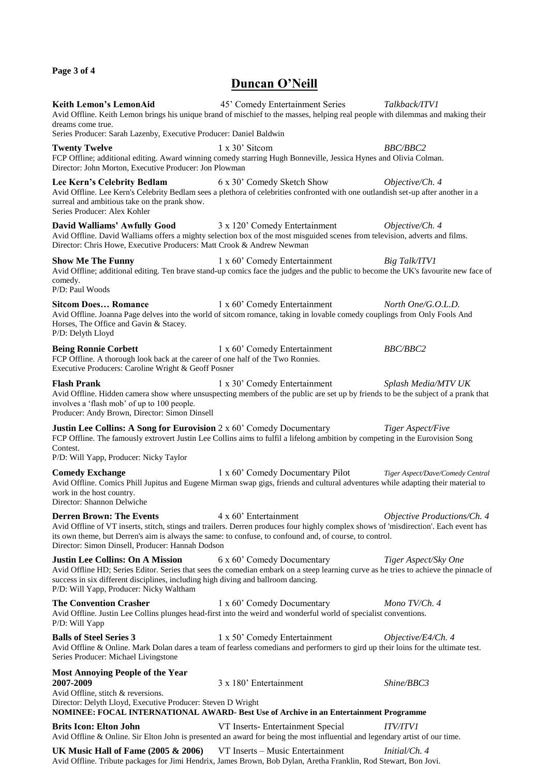#### **Page 3 of 4**

#### **Duncan O'Neill**

**Keith Lemon's LemonAid** 45' Comedy Entertainment Series *Talkback/ITV1* Avid Offline. Keith Lemon brings his unique brand of mischief to the masses, helping real people with dilemmas and making their dreams come true. Series Producer: Sarah Lazenby, Executive Producer: Daniel Baldwin **Twenty Twelve** 1 x 30' Sitcom *BBC/BBC2* FCP Offline; additional editing. Award winning comedy starring Hugh Bonneville, Jessica Hynes and Olivia Colman. Director: John Morton, Executive Producer: Jon Plowman **Lee Kern's Celebrity Bedlam** 6 x 30' Comedy Sketch Show *Objective/Ch. 4* Avid Offline. Lee Kern's Celebrity Bedlam sees a plethora of celebrities confronted with one outlandish set-up after another in a surreal and ambitious take on the prank show. Series Producer: Alex Kohler **David Walliams' Awfully Good** 3 x 120' Comedy Entertainment *Objective/Ch. 4* Avid Offline. David Walliams offers a mighty selection box of the most misguided scenes from television, adverts and films. Director: Chris Howe, Executive Producers: Matt Crook & Andrew Newman **Show Me The Funny** 1 x 60' Comedy Entertainment *Big Talk/ITV1* Avid Offline; additional editing. Ten brave stand-up comics face the judges and the public to become the UK's favourite new face of comedy. P/D: Paul Woods **Sitcom Does... Romance** 1 x 60' Comedy Entertainment *North One/G.O.L.D.* Avid Offline. Joanna Page delves into the world of sitcom romance, taking in lovable comedy couplings from Only Fools And Horses, The Office and Gavin & Stacey. P/D: Delyth Lloyd **Being Ronnie Corbett** 1 x 60' Comedy Entertainment *BBC/BBC2* FCP Offline. A thorough look back at the career of one half of the Two Ronnies. Executive Producers: Caroline Wright & Geoff Posner **Flash Prank** 1 x 30' Comedy Entertainment *Splash Media/MTV UK* Avid Offline. Hidden camera show where unsuspecting members of the public are set up by friends to be the subject of a prank that involves a 'flash mob' of up to 100 people. Producer: Andy Brown, Director: Simon Dinsell **Justin Lee Collins: A Song for Eurovision** 2 x 60' Comedy Documentary *Tiger Aspect/Five* FCP Offline. The famously extrovert Justin Lee Collins aims to fulfil a lifelong ambition by competing in the Eurovision Song Contest. P/D: Will Yapp, Producer: Nicky Taylor **Comedy Exchange** 1 x 60' Comedy Documentary Pilot *Tiger Aspect/Dave/Comedy Central* Avid Offline. Comics Phill Jupitus and Eugene Mirman swap gigs, friends and cultural adventures while adapting their material to work in the host country. Director: Shannon Delwiche **Derren Brown: The Events** 4 x 60' Entertainment *Objective Productions/Ch. 4* Avid Offline of VT inserts, stitch, stings and trailers. Derren produces four highly complex shows of 'misdirection'. Each event has its own theme, but Derren's aim is always the same: to confuse, to confound and, of course, to control. Director: Simon Dinsell, Producer: Hannah Dodson **Justin Lee Collins: On A Mission** 6 x 60' Comedy Documentary *Tiger Aspect/Sky One* Avid Offline HD; Series Editor. Series that sees the comedian embark on a steep learning curve as he tries to achieve the pinnacle of success in six different disciplines, including high diving and ballroom dancing. P/D: Will Yapp, Producer: Nicky Waltham **The Convention Crasher** 1 x 60' Comedy Documentary *Mono TV/Ch. 4* Avid Offline. Justin Lee Collins plunges head-first into the weird and wonderful world of specialist conventions. P/D: Will Yapp **Balls of Steel Series 3** 1 x 50' Comedy Entertainment *Objective/E4/Ch. 4* Avid Offline & Online. Mark Dolan dares a team of fearless comedians and performers to gird up their loins for the ultimate test. Series Producer: Michael Livingstone **Most Annoying People of the Year 2007-2009** 3 x 180' Entertainment *Shine/BBC3* Avid Offline, stitch & reversions. Director: Delyth Lloyd, Executive Producer: Steven D Wright **NOMINEE: FOCAL INTERNATIONAL AWARD- Best Use of Archive in an Entertainment Programme Brits Icon: Elton John** VT Inserts- Entertainment Special *ITV/ITV1* Avid Offline & Online. Sir Elton John is presented an award for being the most influential and legendary artist of our time. **UK Music Hall of Fame (2005 & 2006)** VT Inserts – Music Entertainment *Initial/Ch. 4*

Avid Offline. Tribute packages for Jimi Hendrix, James Brown, Bob Dylan, Aretha Franklin, Rod Stewart, Bon Jovi.